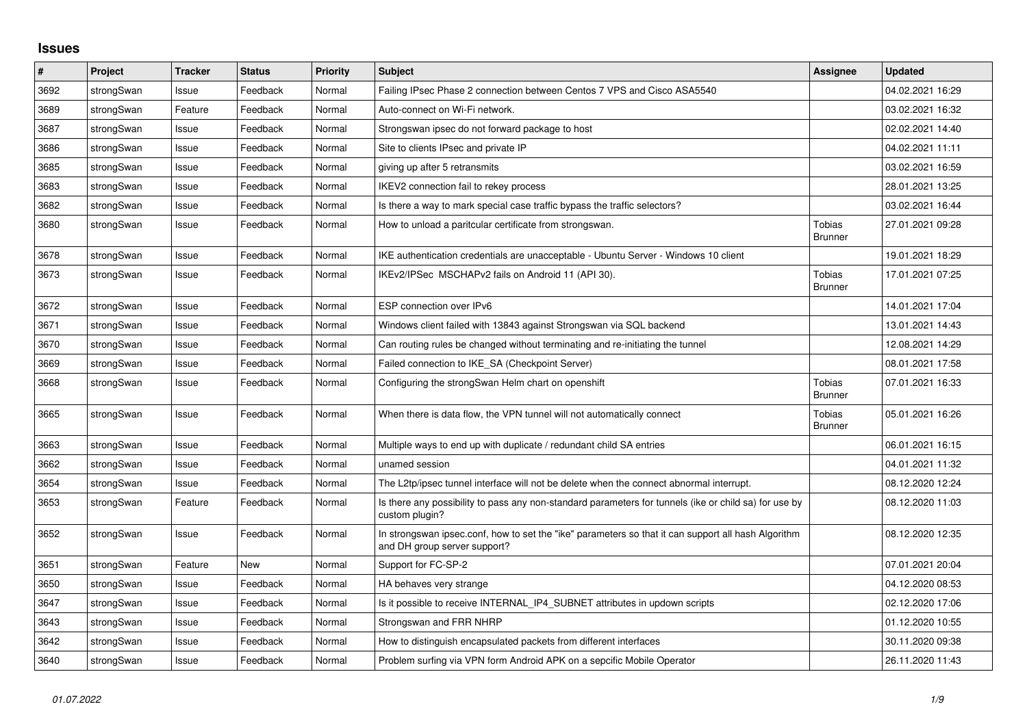## **Issues**

| $\vert$ # | Project    | <b>Tracker</b> | <b>Status</b> | <b>Priority</b> | <b>Subject</b>                                                                                                                      | Assignee                 | <b>Updated</b>   |
|-----------|------------|----------------|---------------|-----------------|-------------------------------------------------------------------------------------------------------------------------------------|--------------------------|------------------|
| 3692      | strongSwan | Issue          | Feedback      | Normal          | Failing IPsec Phase 2 connection between Centos 7 VPS and Cisco ASA5540                                                             |                          | 04.02.2021 16:29 |
| 3689      | strongSwan | Feature        | Feedback      | Normal          | Auto-connect on Wi-Fi network.                                                                                                      |                          | 03.02.2021 16:32 |
| 3687      | strongSwan | Issue          | Feedback      | Normal          | Strongswan ipsec do not forward package to host                                                                                     |                          | 02.02.2021 14:40 |
| 3686      | strongSwan | Issue          | Feedback      | Normal          | Site to clients IPsec and private IP                                                                                                |                          | 04.02.2021 11:11 |
| 3685      | strongSwan | Issue          | Feedback      | Normal          | giving up after 5 retransmits                                                                                                       |                          | 03.02.2021 16:59 |
| 3683      | strongSwan | Issue          | Feedback      | Normal          | IKEV2 connection fail to rekey process                                                                                              |                          | 28.01.2021 13:25 |
| 3682      | strongSwan | Issue          | Feedback      | Normal          | Is there a way to mark special case traffic bypass the traffic selectors?                                                           |                          | 03.02.2021 16:44 |
| 3680      | strongSwan | Issue          | Feedback      | Normal          | How to unload a paritcular certificate from strongswan.                                                                             | Tobias<br><b>Brunner</b> | 27.01.2021 09:28 |
| 3678      | strongSwan | Issue          | Feedback      | Normal          | IKE authentication credentials are unacceptable - Ubuntu Server - Windows 10 client                                                 |                          | 19.01.2021 18:29 |
| 3673      | strongSwan | Issue          | Feedback      | Normal          | IKEv2/IPSec MSCHAPv2 fails on Android 11 (API 30).                                                                                  | Tobias<br><b>Brunner</b> | 17.01.2021 07:25 |
| 3672      | strongSwan | Issue          | Feedback      | Normal          | ESP connection over IPv6                                                                                                            |                          | 14.01.2021 17:04 |
| 3671      | strongSwan | Issue          | Feedback      | Normal          | Windows client failed with 13843 against Strongswan via SQL backend                                                                 |                          | 13.01.2021 14:43 |
| 3670      | strongSwan | Issue          | Feedback      | Normal          | Can routing rules be changed without terminating and re-initiating the tunnel                                                       |                          | 12.08.2021 14:29 |
| 3669      | strongSwan | Issue          | Feedback      | Normal          | Failed connection to IKE SA (Checkpoint Server)                                                                                     |                          | 08.01.2021 17:58 |
| 3668      | strongSwan | Issue          | Feedback      | Normal          | Configuring the strongSwan Helm chart on openshift                                                                                  | Tobias<br><b>Brunner</b> | 07.01.2021 16:33 |
| 3665      | strongSwan | Issue          | Feedback      | Normal          | When there is data flow, the VPN tunnel will not automatically connect                                                              | Tobias<br><b>Brunner</b> | 05.01.2021 16:26 |
| 3663      | strongSwan | Issue          | Feedback      | Normal          | Multiple ways to end up with duplicate / redundant child SA entries                                                                 |                          | 06.01.2021 16:15 |
| 3662      | strongSwan | Issue          | Feedback      | Normal          | unamed session                                                                                                                      |                          | 04.01.2021 11:32 |
| 3654      | strongSwan | Issue          | Feedback      | Normal          | The L2tp/ipsec tunnel interface will not be delete when the connect abnormal interrupt.                                             |                          | 08.12.2020 12:24 |
| 3653      | strongSwan | Feature        | Feedback      | Normal          | Is there any possibility to pass any non-standard parameters for tunnels (ike or child sa) for use by<br>custom plugin?             |                          | 08.12.2020 11:03 |
| 3652      | strongSwan | Issue          | Feedback      | Normal          | In strongswan ipsec.conf, how to set the "ike" parameters so that it can support all hash Algorithm<br>and DH group server support? |                          | 08.12.2020 12:35 |
| 3651      | strongSwan | Feature        | New           | Normal          | Support for FC-SP-2                                                                                                                 |                          | 07.01.2021 20:04 |
| 3650      | strongSwan | Issue          | Feedback      | Normal          | HA behaves very strange                                                                                                             |                          | 04.12.2020 08:53 |
| 3647      | strongSwan | Issue          | Feedback      | Normal          | Is it possible to receive INTERNAL_IP4_SUBNET attributes in updown scripts                                                          |                          | 02.12.2020 17:06 |
| 3643      | strongSwan | Issue          | Feedback      | Normal          | Strongswan and FRR NHRP                                                                                                             |                          | 01.12.2020 10:55 |
| 3642      | strongSwan | Issue          | Feedback      | Normal          | How to distinguish encapsulated packets from different interfaces                                                                   |                          | 30.11.2020 09:38 |
| 3640      | strongSwan | Issue          | Feedback      | Normal          | Problem surfing via VPN form Android APK on a sepcific Mobile Operator                                                              |                          | 26.11.2020 11:43 |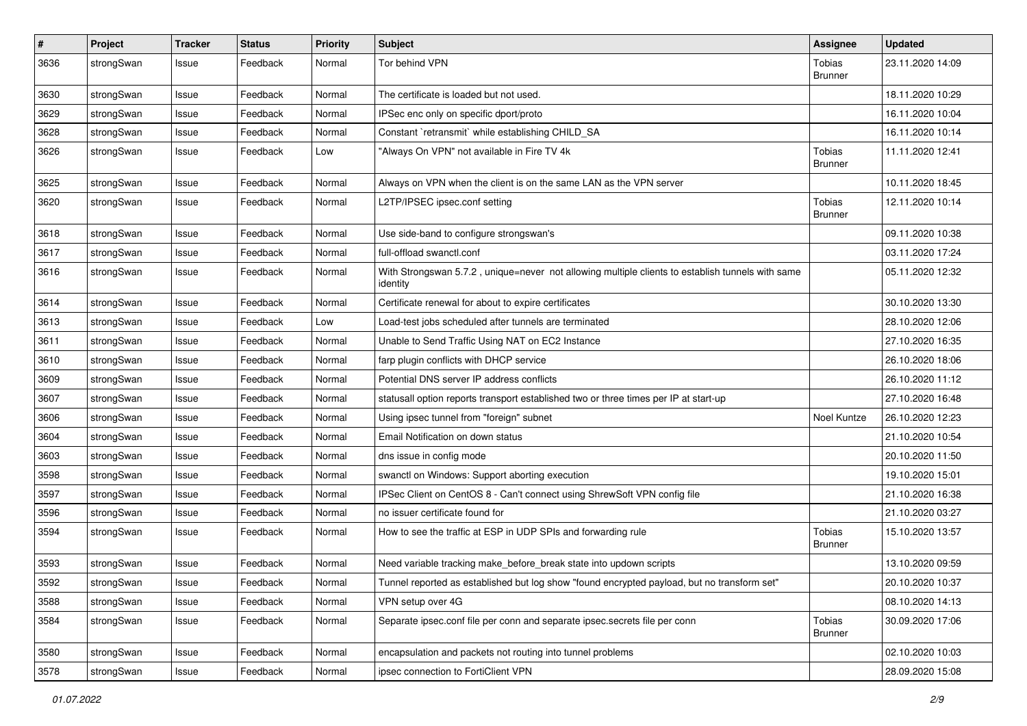| $\pmb{\#}$ | Project    | <b>Tracker</b> | <b>Status</b> | Priority | <b>Subject</b>                                                                                               | Assignee                        | <b>Updated</b>   |
|------------|------------|----------------|---------------|----------|--------------------------------------------------------------------------------------------------------------|---------------------------------|------------------|
| 3636       | strongSwan | Issue          | Feedback      | Normal   | Tor behind VPN                                                                                               | Tobias<br><b>Brunner</b>        | 23.11.2020 14:09 |
| 3630       | strongSwan | Issue          | Feedback      | Normal   | The certificate is loaded but not used.                                                                      |                                 | 18.11.2020 10:29 |
| 3629       | strongSwan | Issue          | Feedback      | Normal   | IPSec enc only on specific dport/proto                                                                       |                                 | 16.11.2020 10:04 |
| 3628       | strongSwan | Issue          | Feedback      | Normal   | Constant `retransmit` while establishing CHILD_SA                                                            |                                 | 16.11.2020 10:14 |
| 3626       | strongSwan | Issue          | Feedback      | Low      | "Always On VPN" not available in Fire TV 4k                                                                  | Tobias<br><b>Brunner</b>        | 11.11.2020 12:41 |
| 3625       | strongSwan | Issue          | Feedback      | Normal   | Always on VPN when the client is on the same LAN as the VPN server                                           |                                 | 10.11.2020 18:45 |
| 3620       | strongSwan | Issue          | Feedback      | Normal   | L2TP/IPSEC ipsec.conf setting                                                                                | Tobias<br><b>Brunner</b>        | 12.11.2020 10:14 |
| 3618       | strongSwan | Issue          | Feedback      | Normal   | Use side-band to configure strongswan's                                                                      |                                 | 09.11.2020 10:38 |
| 3617       | strongSwan | Issue          | Feedback      | Normal   | full-offload swanctl.conf                                                                                    |                                 | 03.11.2020 17:24 |
| 3616       | strongSwan | Issue          | Feedback      | Normal   | With Strongswan 5.7.2, unique=never not allowing multiple clients to establish tunnels with same<br>identity |                                 | 05.11.2020 12:32 |
| 3614       | strongSwan | Issue          | Feedback      | Normal   | Certificate renewal for about to expire certificates                                                         |                                 | 30.10.2020 13:30 |
| 3613       | strongSwan | Issue          | Feedback      | Low      | Load-test jobs scheduled after tunnels are terminated                                                        |                                 | 28.10.2020 12:06 |
| 3611       | strongSwan | Issue          | Feedback      | Normal   | Unable to Send Traffic Using NAT on EC2 Instance                                                             |                                 | 27.10.2020 16:35 |
| 3610       | strongSwan | Issue          | Feedback      | Normal   | farp plugin conflicts with DHCP service                                                                      |                                 | 26.10.2020 18:06 |
| 3609       | strongSwan | Issue          | Feedback      | Normal   | Potential DNS server IP address conflicts                                                                    |                                 | 26.10.2020 11:12 |
| 3607       | strongSwan | Issue          | Feedback      | Normal   | statusall option reports transport established two or three times per IP at start-up                         |                                 | 27.10.2020 16:48 |
| 3606       | strongSwan | Issue          | Feedback      | Normal   | Using ipsec tunnel from "foreign" subnet                                                                     | Noel Kuntze                     | 26.10.2020 12:23 |
| 3604       | strongSwan | Issue          | Feedback      | Normal   | Email Notification on down status                                                                            |                                 | 21.10.2020 10:54 |
| 3603       | strongSwan | Issue          | Feedback      | Normal   | dns issue in config mode                                                                                     |                                 | 20.10.2020 11:50 |
| 3598       | strongSwan | Issue          | Feedback      | Normal   | swanctl on Windows: Support aborting execution                                                               |                                 | 19.10.2020 15:01 |
| 3597       | strongSwan | Issue          | Feedback      | Normal   | IPSec Client on CentOS 8 - Can't connect using ShrewSoft VPN config file                                     |                                 | 21.10.2020 16:38 |
| 3596       | strongSwan | Issue          | Feedback      | Normal   | no issuer certificate found for                                                                              |                                 | 21.10.2020 03:27 |
| 3594       | strongSwan | Issue          | Feedback      | Normal   | How to see the traffic at ESP in UDP SPIs and forwarding rule                                                | Tobias<br><b>Brunner</b>        | 15.10.2020 13:57 |
| 3593       | strongSwan | Issue          | Feedback      | Normal   | Need variable tracking make_before_break state into updown scripts                                           |                                 | 13.10.2020 09:59 |
| 3592       | strongSwan | Issue          | Feedback      | Normal   | Tunnel reported as established but log show "found encrypted payload, but no transform set"                  |                                 | 20.10.2020 10:37 |
| 3588       | strongSwan | Issue          | Feedback      | Normal   | VPN setup over 4G                                                                                            |                                 | 08.10.2020 14:13 |
| 3584       | strongSwan | Issue          | Feedback      | Normal   | Separate ipsec.conf file per conn and separate ipsec.secrets file per conn                                   | <b>Tobias</b><br><b>Brunner</b> | 30.09.2020 17:06 |
| 3580       | strongSwan | Issue          | Feedback      | Normal   | encapsulation and packets not routing into tunnel problems                                                   |                                 | 02.10.2020 10:03 |
| 3578       | strongSwan | Issue          | Feedback      | Normal   | ipsec connection to FortiClient VPN                                                                          |                                 | 28.09.2020 15:08 |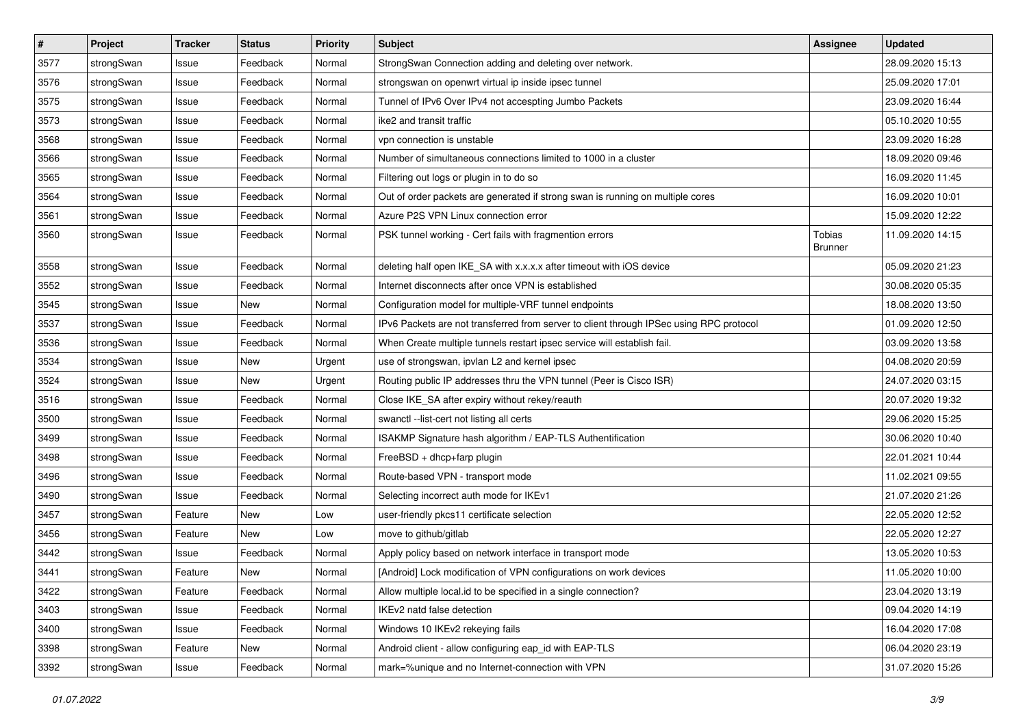| $\pmb{\#}$ | Project    | <b>Tracker</b> | <b>Status</b> | <b>Priority</b> | <b>Subject</b>                                                                          | Assignee                        | <b>Updated</b>   |
|------------|------------|----------------|---------------|-----------------|-----------------------------------------------------------------------------------------|---------------------------------|------------------|
| 3577       | strongSwan | Issue          | Feedback      | Normal          | StrongSwan Connection adding and deleting over network.                                 |                                 | 28.09.2020 15:13 |
| 3576       | strongSwan | Issue          | Feedback      | Normal          | strongswan on openwrt virtual ip inside ipsec tunnel                                    |                                 | 25.09.2020 17:01 |
| 3575       | strongSwan | Issue          | Feedback      | Normal          | Tunnel of IPv6 Over IPv4 not accespting Jumbo Packets                                   |                                 | 23.09.2020 16:44 |
| 3573       | strongSwan | lssue          | Feedback      | Normal          | ike2 and transit traffic                                                                |                                 | 05.10.2020 10:55 |
| 3568       | strongSwan | Issue          | Feedback      | Normal          | vpn connection is unstable                                                              |                                 | 23.09.2020 16:28 |
| 3566       | strongSwan | Issue          | Feedback      | Normal          | Number of simultaneous connections limited to 1000 in a cluster                         |                                 | 18.09.2020 09:46 |
| 3565       | strongSwan | Issue          | Feedback      | Normal          | Filtering out logs or plugin in to do so                                                |                                 | 16.09.2020 11:45 |
| 3564       | strongSwan | Issue          | Feedback      | Normal          | Out of order packets are generated if strong swan is running on multiple cores          |                                 | 16.09.2020 10:01 |
| 3561       | strongSwan | Issue          | Feedback      | Normal          | Azure P2S VPN Linux connection error                                                    |                                 | 15.09.2020 12:22 |
| 3560       | strongSwan | Issue          | Feedback      | Normal          | PSK tunnel working - Cert fails with fragmention errors                                 | <b>Tobias</b><br><b>Brunner</b> | 11.09.2020 14:15 |
| 3558       | strongSwan | lssue          | Feedback      | Normal          | deleting half open IKE_SA with x.x.x.x after timeout with iOS device                    |                                 | 05.09.2020 21:23 |
| 3552       | strongSwan | Issue          | Feedback      | Normal          | Internet disconnects after once VPN is established                                      |                                 | 30.08.2020 05:35 |
| 3545       | strongSwan | Issue          | New           | Normal          | Configuration model for multiple-VRF tunnel endpoints                                   |                                 | 18.08.2020 13:50 |
| 3537       | strongSwan | Issue          | Feedback      | Normal          | IPv6 Packets are not transferred from server to client through IPSec using RPC protocol |                                 | 01.09.2020 12:50 |
| 3536       | strongSwan | Issue          | Feedback      | Normal          | When Create multiple tunnels restart ipsec service will establish fail.                 |                                 | 03.09.2020 13:58 |
| 3534       | strongSwan | Issue          | New           | Urgent          | use of strongswan, ipvlan L2 and kernel ipsec                                           |                                 | 04.08.2020 20:59 |
| 3524       | strongSwan | Issue          | New           | Urgent          | Routing public IP addresses thru the VPN tunnel (Peer is Cisco ISR)                     |                                 | 24.07.2020 03:15 |
| 3516       | strongSwan | Issue          | Feedback      | Normal          | Close IKE_SA after expiry without rekey/reauth                                          |                                 | 20.07.2020 19:32 |
| 3500       | strongSwan | Issue          | Feedback      | Normal          | swanctl --list-cert not listing all certs                                               |                                 | 29.06.2020 15:25 |
| 3499       | strongSwan | Issue          | Feedback      | Normal          | ISAKMP Signature hash algorithm / EAP-TLS Authentification                              |                                 | 30.06.2020 10:40 |
| 3498       | strongSwan | lssue          | Feedback      | Normal          | FreeBSD + dhcp+farp plugin                                                              |                                 | 22.01.2021 10:44 |
| 3496       | strongSwan | Issue          | Feedback      | Normal          | Route-based VPN - transport mode                                                        |                                 | 11.02.2021 09:55 |
| 3490       | strongSwan | Issue          | Feedback      | Normal          | Selecting incorrect auth mode for IKEv1                                                 |                                 | 21.07.2020 21:26 |
| 3457       | strongSwan | Feature        | New           | Low             | user-friendly pkcs11 certificate selection                                              |                                 | 22.05.2020 12:52 |
| 3456       | strongSwan | Feature        | New           | Low             | move to github/gitlab                                                                   |                                 | 22.05.2020 12:27 |
| 3442       | strongSwan | Issue          | Feedback      | Normal          | Apply policy based on network interface in transport mode                               |                                 | 13.05.2020 10:53 |
| 3441       | strongSwan | Feature        | New           | Normal          | [Android] Lock modification of VPN configurations on work devices                       |                                 | 11.05.2020 10:00 |
| 3422       | strongSwan | Feature        | Feedback      | Normal          | Allow multiple local id to be specified in a single connection?                         |                                 | 23.04.2020 13:19 |
| 3403       | strongSwan | Issue          | Feedback      | Normal          | IKEv2 natd false detection                                                              |                                 | 09.04.2020 14:19 |
| 3400       | strongSwan | Issue          | Feedback      | Normal          | Windows 10 IKEv2 rekeying fails                                                         |                                 | 16.04.2020 17:08 |
| 3398       | strongSwan | Feature        | New           | Normal          | Android client - allow configuring eap_id with EAP-TLS                                  |                                 | 06.04.2020 23:19 |
| 3392       | strongSwan | Issue          | Feedback      | Normal          | mark=%unique and no Internet-connection with VPN                                        |                                 | 31.07.2020 15:26 |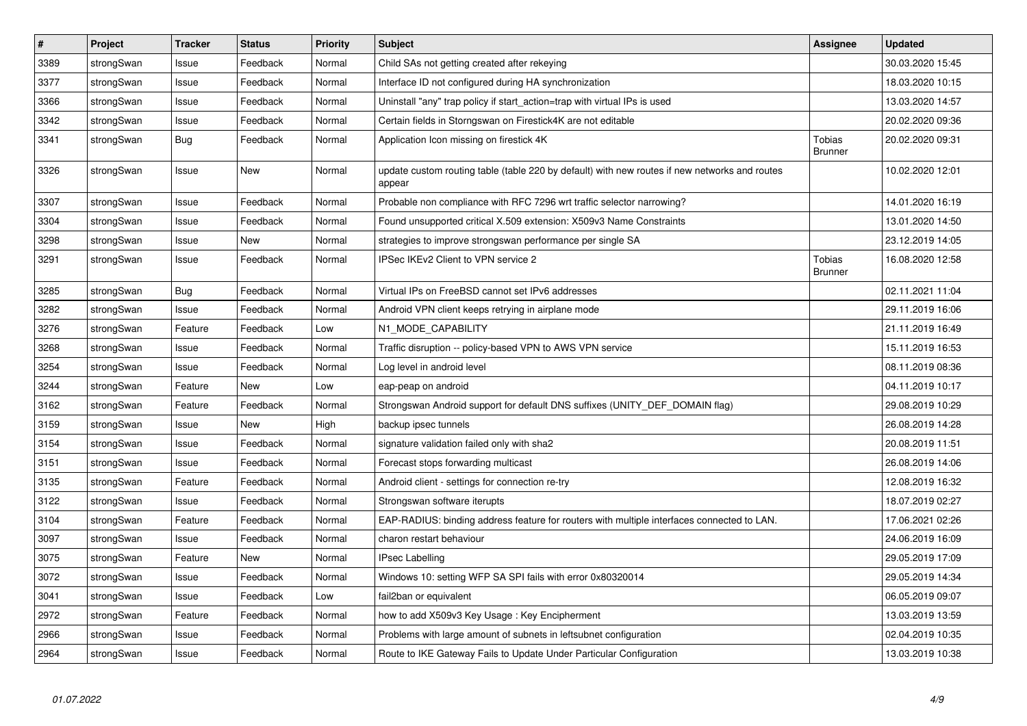| $\vert$ # | Project    | <b>Tracker</b> | <b>Status</b> | Priority | <b>Subject</b>                                                                                          | Assignee                        | <b>Updated</b>   |
|-----------|------------|----------------|---------------|----------|---------------------------------------------------------------------------------------------------------|---------------------------------|------------------|
| 3389      | strongSwan | Issue          | Feedback      | Normal   | Child SAs not getting created after rekeying                                                            |                                 | 30.03.2020 15:45 |
| 3377      | strongSwan | Issue          | Feedback      | Normal   | Interface ID not configured during HA synchronization                                                   |                                 | 18.03.2020 10:15 |
| 3366      | strongSwan | Issue          | Feedback      | Normal   | Uninstall "any" trap policy if start_action=trap with virtual IPs is used                               |                                 | 13.03.2020 14:57 |
| 3342      | strongSwan | Issue          | Feedback      | Normal   | Certain fields in Storngswan on Firestick4K are not editable                                            |                                 | 20.02.2020 09:36 |
| 3341      | strongSwan | Bug            | Feedback      | Normal   | Application Icon missing on firestick 4K                                                                | <b>Tobias</b><br><b>Brunner</b> | 20.02.2020 09:31 |
| 3326      | strongSwan | Issue          | <b>New</b>    | Normal   | update custom routing table (table 220 by default) with new routes if new networks and routes<br>appear |                                 | 10.02.2020 12:01 |
| 3307      | strongSwan | Issue          | Feedback      | Normal   | Probable non compliance with RFC 7296 wrt traffic selector narrowing?                                   |                                 | 14.01.2020 16:19 |
| 3304      | strongSwan | Issue          | Feedback      | Normal   | Found unsupported critical X.509 extension: X509v3 Name Constraints                                     |                                 | 13.01.2020 14:50 |
| 3298      | strongSwan | Issue          | <b>New</b>    | Normal   | strategies to improve strongswan performance per single SA                                              |                                 | 23.12.2019 14:05 |
| 3291      | strongSwan | Issue          | Feedback      | Normal   | IPSec IKEv2 Client to VPN service 2                                                                     | Tobias<br>Brunner               | 16.08.2020 12:58 |
| 3285      | strongSwan | <b>Bug</b>     | Feedback      | Normal   | Virtual IPs on FreeBSD cannot set IPv6 addresses                                                        |                                 | 02.11.2021 11:04 |
| 3282      | strongSwan | Issue          | Feedback      | Normal   | Android VPN client keeps retrying in airplane mode                                                      |                                 | 29.11.2019 16:06 |
| 3276      | strongSwan | Feature        | Feedback      | Low      | N1_MODE_CAPABILITY                                                                                      |                                 | 21.11.2019 16:49 |
| 3268      | strongSwan | Issue          | Feedback      | Normal   | Traffic disruption -- policy-based VPN to AWS VPN service                                               |                                 | 15.11.2019 16:53 |
| 3254      | strongSwan | Issue          | Feedback      | Normal   | Log level in android level                                                                              |                                 | 08.11.2019 08:36 |
| 3244      | strongSwan | Feature        | New           | Low      | eap-peap on android                                                                                     |                                 | 04.11.2019 10:17 |
| 3162      | strongSwan | Feature        | Feedback      | Normal   | Strongswan Android support for default DNS suffixes (UNITY_DEF_DOMAIN flag)                             |                                 | 29.08.2019 10:29 |
| 3159      | strongSwan | Issue          | <b>New</b>    | High     | backup ipsec tunnels                                                                                    |                                 | 26.08.2019 14:28 |
| 3154      | strongSwan | Issue          | Feedback      | Normal   | signature validation failed only with sha2                                                              |                                 | 20.08.2019 11:51 |
| 3151      | strongSwan | Issue          | Feedback      | Normal   | Forecast stops forwarding multicast                                                                     |                                 | 26.08.2019 14:06 |
| 3135      | strongSwan | Feature        | Feedback      | Normal   | Android client - settings for connection re-try                                                         |                                 | 12.08.2019 16:32 |
| 3122      | strongSwan | Issue          | Feedback      | Normal   | Strongswan software iterupts                                                                            |                                 | 18.07.2019 02:27 |
| 3104      | strongSwan | Feature        | Feedback      | Normal   | EAP-RADIUS: binding address feature for routers with multiple interfaces connected to LAN.              |                                 | 17.06.2021 02:26 |
| 3097      | strongSwan | Issue          | Feedback      | Normal   | charon restart behaviour                                                                                |                                 | 24.06.2019 16:09 |
| 3075      | strongSwan | Feature        | New           | Normal   | <b>IPsec Labelling</b>                                                                                  |                                 | 29.05.2019 17:09 |
| 3072      | strongSwan | Issue          | Feedback      | Normal   | Windows 10: setting WFP SA SPI fails with error 0x80320014                                              |                                 | 29.05.2019 14:34 |
| 3041      | strongSwan | Issue          | Feedback      | Low      | fail2ban or equivalent                                                                                  |                                 | 06.05.2019 09:07 |
| 2972      | strongSwan | Feature        | Feedback      | Normal   | how to add X509v3 Key Usage: Key Encipherment                                                           |                                 | 13.03.2019 13:59 |
| 2966      | strongSwan | Issue          | Feedback      | Normal   | Problems with large amount of subnets in leftsubnet configuration                                       |                                 | 02.04.2019 10:35 |
| 2964      | strongSwan | Issue          | Feedback      | Normal   | Route to IKE Gateway Fails to Update Under Particular Configuration                                     |                                 | 13.03.2019 10:38 |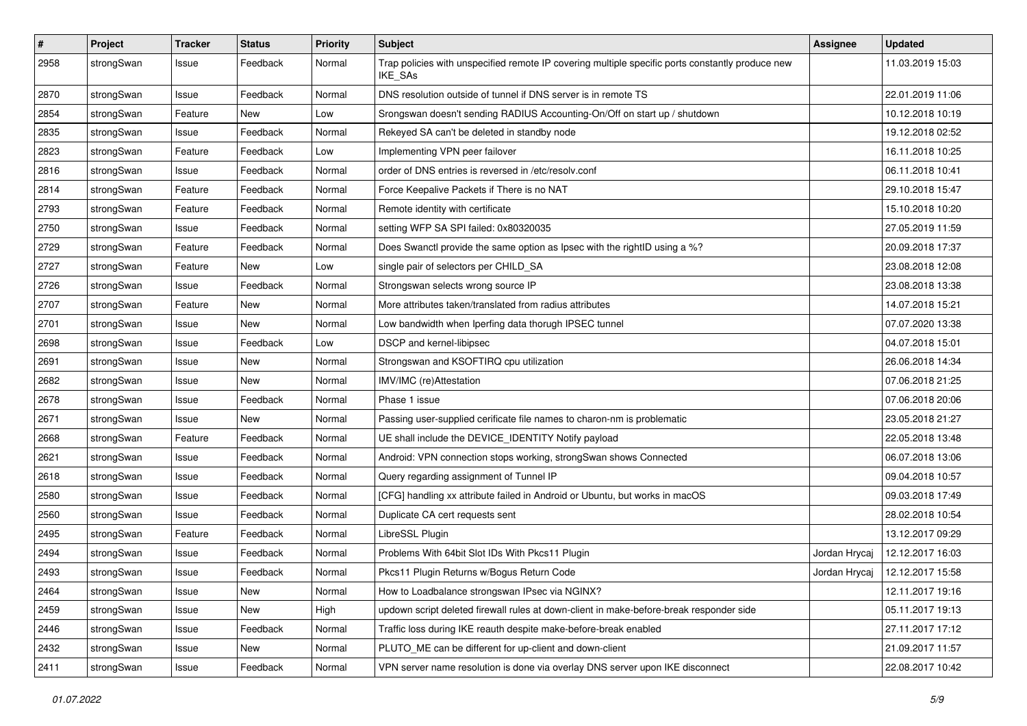| $\pmb{\#}$ | Project    | <b>Tracker</b> | <b>Status</b> | <b>Priority</b> | <b>Subject</b>                                                                                              | <b>Assignee</b> | <b>Updated</b>   |
|------------|------------|----------------|---------------|-----------------|-------------------------------------------------------------------------------------------------------------|-----------------|------------------|
| 2958       | strongSwan | Issue          | Feedback      | Normal          | Trap policies with unspecified remote IP covering multiple specific ports constantly produce new<br>IKE_SAs |                 | 11.03.2019 15:03 |
| 2870       | strongSwan | Issue          | Feedback      | Normal          | DNS resolution outside of tunnel if DNS server is in remote TS                                              |                 | 22.01.2019 11:06 |
| 2854       | strongSwan | Feature        | New           | Low             | Srongswan doesn't sending RADIUS Accounting-On/Off on start up / shutdown                                   |                 | 10.12.2018 10:19 |
| 2835       | strongSwan | Issue          | Feedback      | Normal          | Rekeyed SA can't be deleted in standby node                                                                 |                 | 19.12.2018 02:52 |
| 2823       | strongSwan | Feature        | Feedback      | Low             | Implementing VPN peer failover                                                                              |                 | 16.11.2018 10:25 |
| 2816       | strongSwan | Issue          | Feedback      | Normal          | order of DNS entries is reversed in /etc/resolv.conf                                                        |                 | 06.11.2018 10:41 |
| 2814       | strongSwan | Feature        | Feedback      | Normal          | Force Keepalive Packets if There is no NAT                                                                  |                 | 29.10.2018 15:47 |
| 2793       | strongSwan | Feature        | Feedback      | Normal          | Remote identity with certificate                                                                            |                 | 15.10.2018 10:20 |
| 2750       | strongSwan | Issue          | Feedback      | Normal          | setting WFP SA SPI failed: 0x80320035                                                                       |                 | 27.05.2019 11:59 |
| 2729       | strongSwan | Feature        | Feedback      | Normal          | Does Swanctl provide the same option as Ipsec with the rightID using a %?                                   |                 | 20.09.2018 17:37 |
| 2727       | strongSwan | Feature        | New           | Low             | single pair of selectors per CHILD_SA                                                                       |                 | 23.08.2018 12:08 |
| 2726       | strongSwan | Issue          | Feedback      | Normal          | Strongswan selects wrong source IP                                                                          |                 | 23.08.2018 13:38 |
| 2707       | strongSwan | Feature        | New           | Normal          | More attributes taken/translated from radius attributes                                                     |                 | 14.07.2018 15:21 |
| 2701       | strongSwan | Issue          | New           | Normal          | Low bandwidth when Iperfing data thorugh IPSEC tunnel                                                       |                 | 07.07.2020 13:38 |
| 2698       | strongSwan | Issue          | Feedback      | Low             | DSCP and kernel-libipsec                                                                                    |                 | 04.07.2018 15:01 |
| 2691       | strongSwan | Issue          | New           | Normal          | Strongswan and KSOFTIRQ cpu utilization                                                                     |                 | 26.06.2018 14:34 |
| 2682       | strongSwan | Issue          | New           | Normal          | IMV/IMC (re)Attestation                                                                                     |                 | 07.06.2018 21:25 |
| 2678       | strongSwan | Issue          | Feedback      | Normal          | Phase 1 issue                                                                                               |                 | 07.06.2018 20:06 |
| 2671       | strongSwan | Issue          | New           | Normal          | Passing user-supplied cerificate file names to charon-nm is problematic                                     |                 | 23.05.2018 21:27 |
| 2668       | strongSwan | Feature        | Feedback      | Normal          | UE shall include the DEVICE_IDENTITY Notify payload                                                         |                 | 22.05.2018 13:48 |
| 2621       | strongSwan | Issue          | Feedback      | Normal          | Android: VPN connection stops working, strongSwan shows Connected                                           |                 | 06.07.2018 13:06 |
| 2618       | strongSwan | Issue          | Feedback      | Normal          | Query regarding assignment of Tunnel IP                                                                     |                 | 09.04.2018 10:57 |
| 2580       | strongSwan | Issue          | Feedback      | Normal          | [CFG] handling xx attribute failed in Android or Ubuntu, but works in macOS                                 |                 | 09.03.2018 17:49 |
| 2560       | strongSwan | Issue          | Feedback      | Normal          | Duplicate CA cert requests sent                                                                             |                 | 28.02.2018 10:54 |
| 2495       | strongSwan | Feature        | Feedback      | Normal          | LibreSSL Plugin                                                                                             |                 | 13.12.2017 09:29 |
| 2494       | strongSwan | Issue          | Feedback      | Normal          | Problems With 64bit Slot IDs With Pkcs11 Plugin                                                             | Jordan Hrycaj   | 12.12.2017 16:03 |
| 2493       | strongSwan | Issue          | Feedback      | Normal          | Pkcs11 Plugin Returns w/Bogus Return Code                                                                   | Jordan Hrycaj   | 12.12.2017 15:58 |
| 2464       | strongSwan | Issue          | New           | Normal          | How to Loadbalance strongswan IPsec via NGINX?                                                              |                 | 12.11.2017 19:16 |
| 2459       | strongSwan | Issue          | New           | High            | updown script deleted firewall rules at down-client in make-before-break responder side                     |                 | 05.11.2017 19:13 |
| 2446       | strongSwan | Issue          | Feedback      | Normal          | Traffic loss during IKE reauth despite make-before-break enabled                                            |                 | 27.11.2017 17:12 |
| 2432       | strongSwan | Issue          | New           | Normal          | PLUTO_ME can be different for up-client and down-client                                                     |                 | 21.09.2017 11:57 |
| 2411       | strongSwan | Issue          | Feedback      | Normal          | VPN server name resolution is done via overlay DNS server upon IKE disconnect                               |                 | 22.08.2017 10:42 |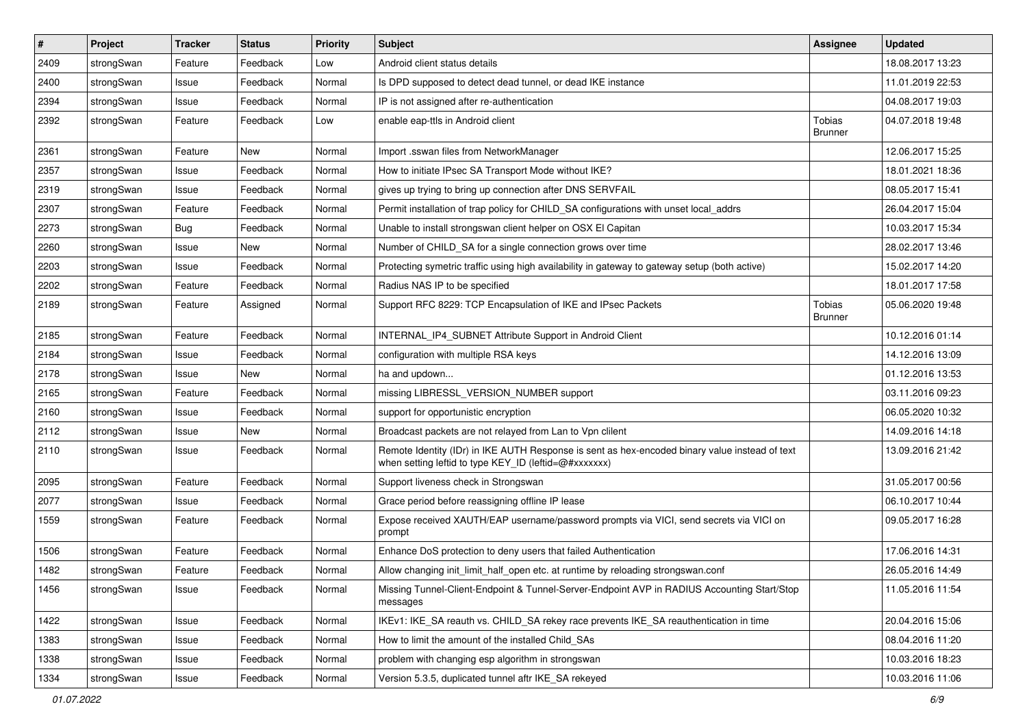| $\vert$ # | Project    | <b>Tracker</b> | <b>Status</b> | Priority | Subject                                                                                                                                                 | <b>Assignee</b>                 | <b>Updated</b>   |
|-----------|------------|----------------|---------------|----------|---------------------------------------------------------------------------------------------------------------------------------------------------------|---------------------------------|------------------|
| 2409      | strongSwan | Feature        | Feedback      | Low      | Android client status details                                                                                                                           |                                 | 18.08.2017 13:23 |
| 2400      | strongSwan | Issue          | Feedback      | Normal   | Is DPD supposed to detect dead tunnel, or dead IKE instance                                                                                             |                                 | 11.01.2019 22:53 |
| 2394      | strongSwan | Issue          | Feedback      | Normal   | IP is not assigned after re-authentication                                                                                                              |                                 | 04.08.2017 19:03 |
| 2392      | strongSwan | Feature        | Feedback      | Low      | enable eap-ttls in Android client                                                                                                                       | <b>Tobias</b><br><b>Brunner</b> | 04.07.2018 19:48 |
| 2361      | strongSwan | Feature        | New           | Normal   | Import .sswan files from NetworkManager                                                                                                                 |                                 | 12.06.2017 15:25 |
| 2357      | strongSwan | Issue          | Feedback      | Normal   | How to initiate IPsec SA Transport Mode without IKE?                                                                                                    |                                 | 18.01.2021 18:36 |
| 2319      | strongSwan | Issue          | Feedback      | Normal   | gives up trying to bring up connection after DNS SERVFAIL                                                                                               |                                 | 08.05.2017 15:41 |
| 2307      | strongSwan | Feature        | Feedback      | Normal   | Permit installation of trap policy for CHILD SA configurations with unset local addrs                                                                   |                                 | 26.04.2017 15:04 |
| 2273      | strongSwan | Bug            | Feedback      | Normal   | Unable to install strongswan client helper on OSX El Capitan                                                                                            |                                 | 10.03.2017 15:34 |
| 2260      | strongSwan | Issue          | New           | Normal   | Number of CHILD_SA for a single connection grows over time                                                                                              |                                 | 28.02.2017 13:46 |
| 2203      | strongSwan | Issue          | Feedback      | Normal   | Protecting symetric traffic using high availability in gateway to gateway setup (both active)                                                           |                                 | 15.02.2017 14:20 |
| 2202      | strongSwan | Feature        | Feedback      | Normal   | Radius NAS IP to be specified                                                                                                                           |                                 | 18.01.2017 17:58 |
| 2189      | strongSwan | Feature        | Assigned      | Normal   | Support RFC 8229: TCP Encapsulation of IKE and IPsec Packets                                                                                            | Tobias<br><b>Brunner</b>        | 05.06.2020 19:48 |
| 2185      | strongSwan | Feature        | Feedback      | Normal   | INTERNAL_IP4_SUBNET Attribute Support in Android Client                                                                                                 |                                 | 10.12.2016 01:14 |
| 2184      | strongSwan | Issue          | Feedback      | Normal   | configuration with multiple RSA keys                                                                                                                    |                                 | 14.12.2016 13:09 |
| 2178      | strongSwan | Issue          | New           | Normal   | ha and updown                                                                                                                                           |                                 | 01.12.2016 13:53 |
| 2165      | strongSwan | Feature        | Feedback      | Normal   | missing LIBRESSL_VERSION_NUMBER support                                                                                                                 |                                 | 03.11.2016 09:23 |
| 2160      | strongSwan | Issue          | Feedback      | Normal   | support for opportunistic encryption                                                                                                                    |                                 | 06.05.2020 10:32 |
| 2112      | strongSwan | Issue          | <b>New</b>    | Normal   | Broadcast packets are not relayed from Lan to Vpn clilent                                                                                               |                                 | 14.09.2016 14:18 |
| 2110      | strongSwan | Issue          | Feedback      | Normal   | Remote Identity (IDr) in IKE AUTH Response is sent as hex-encoded binary value instead of text<br>when setting leftid to type KEY_ID (leftid=@#xxxxxxx) |                                 | 13.09.2016 21:42 |
| 2095      | strongSwan | Feature        | Feedback      | Normal   | Support liveness check in Strongswan                                                                                                                    |                                 | 31.05.2017 00:56 |
| 2077      | strongSwan | Issue          | Feedback      | Normal   | Grace period before reassigning offline IP lease                                                                                                        |                                 | 06.10.2017 10:44 |
| 1559      | strongSwan | Feature        | Feedback      | Normal   | Expose received XAUTH/EAP username/password prompts via VICI, send secrets via VICI on<br>prompt                                                        |                                 | 09.05.2017 16:28 |
| 1506      | strongSwan | Feature        | Feedback      | Normal   | Enhance DoS protection to deny users that failed Authentication                                                                                         |                                 | 17.06.2016 14:31 |
| 1482      | strongSwan | Feature        | Feedback      | Normal   | Allow changing init_limit_half_open etc. at runtime by reloading strongswan.conf                                                                        |                                 | 26.05.2016 14:49 |
| 1456      | strongSwan | Issue          | Feedback      | Normal   | Missing Tunnel-Client-Endpoint & Tunnel-Server-Endpoint AVP in RADIUS Accounting Start/Stop<br>messages                                                 |                                 | 11.05.2016 11:54 |
| 1422      | strongSwan | Issue          | Feedback      | Normal   | IKEv1: IKE_SA reauth vs. CHILD_SA rekey race prevents IKE_SA reauthentication in time                                                                   |                                 | 20.04.2016 15:06 |
| 1383      | strongSwan | Issue          | Feedback      | Normal   | How to limit the amount of the installed Child_SAs                                                                                                      |                                 | 08.04.2016 11:20 |
| 1338      | strongSwan | Issue          | Feedback      | Normal   | problem with changing esp algorithm in strongswan                                                                                                       |                                 | 10.03.2016 18:23 |
| 1334      | strongSwan | Issue          | Feedback      | Normal   | Version 5.3.5, duplicated tunnel aftr IKE_SA rekeyed                                                                                                    |                                 | 10.03.2016 11:06 |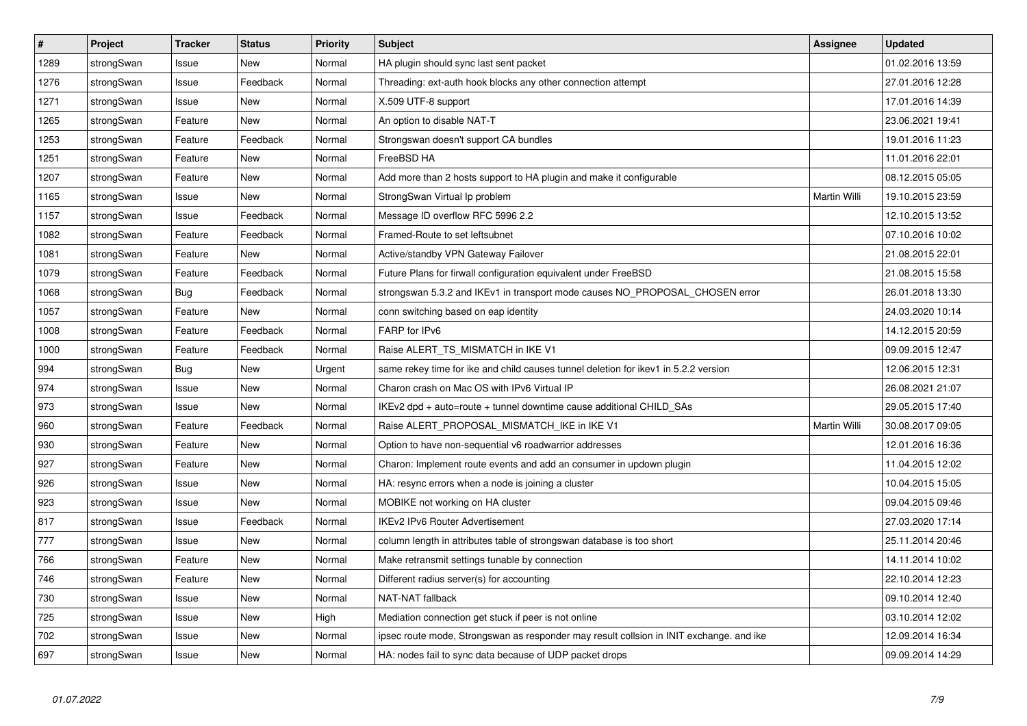| #    | Project    | <b>Tracker</b> | <b>Status</b> | Priority | <b>Subject</b>                                                                          | <b>Assignee</b>     | <b>Updated</b>   |
|------|------------|----------------|---------------|----------|-----------------------------------------------------------------------------------------|---------------------|------------------|
| 1289 | strongSwan | Issue          | <b>New</b>    | Normal   | HA plugin should sync last sent packet                                                  |                     | 01.02.2016 13:59 |
| 1276 | strongSwan | Issue          | Feedback      | Normal   | Threading: ext-auth hook blocks any other connection attempt                            |                     | 27.01.2016 12:28 |
| 1271 | strongSwan | Issue          | New           | Normal   | X.509 UTF-8 support                                                                     |                     | 17.01.2016 14:39 |
| 1265 | strongSwan | Feature        | New           | Normal   | An option to disable NAT-T                                                              |                     | 23.06.2021 19:41 |
| 1253 | strongSwan | Feature        | Feedback      | Normal   | Strongswan doesn't support CA bundles                                                   |                     | 19.01.2016 11:23 |
| 1251 | strongSwan | Feature        | <b>New</b>    | Normal   | FreeBSD HA                                                                              |                     | 11.01.2016 22:01 |
| 1207 | strongSwan | Feature        | New           | Normal   | Add more than 2 hosts support to HA plugin and make it configurable                     |                     | 08.12.2015 05:05 |
| 1165 | strongSwan | Issue          | <b>New</b>    | Normal   | StrongSwan Virtual Ip problem                                                           | <b>Martin Willi</b> | 19.10.2015 23:59 |
| 1157 | strongSwan | Issue          | Feedback      | Normal   | Message ID overflow RFC 5996 2.2                                                        |                     | 12.10.2015 13:52 |
| 1082 | strongSwan | Feature        | Feedback      | Normal   | Framed-Route to set leftsubnet                                                          |                     | 07.10.2016 10:02 |
| 1081 | strongSwan | Feature        | New           | Normal   | Active/standby VPN Gateway Failover                                                     |                     | 21.08.2015 22:01 |
| 1079 | strongSwan | Feature        | Feedback      | Normal   | Future Plans for firwall configuration equivalent under FreeBSD                         |                     | 21.08.2015 15:58 |
| 1068 | strongSwan | <b>Bug</b>     | Feedback      | Normal   | strongswan 5.3.2 and IKEv1 in transport mode causes NO_PROPOSAL_CHOSEN error            |                     | 26.01.2018 13:30 |
| 1057 | strongSwan | Feature        | New           | Normal   | conn switching based on eap identity                                                    |                     | 24.03.2020 10:14 |
| 1008 | strongSwan | Feature        | Feedback      | Normal   | FARP for IPv6                                                                           |                     | 14.12.2015 20:59 |
| 1000 | strongSwan | Feature        | Feedback      | Normal   | Raise ALERT TS MISMATCH in IKE V1                                                       |                     | 09.09.2015 12:47 |
| 994  | strongSwan | Bug            | New           | Urgent   | same rekey time for ike and child causes tunnel deletion for ikev1 in 5.2.2 version     |                     | 12.06.2015 12:31 |
| 974  | strongSwan | Issue          | New           | Normal   | Charon crash on Mac OS with IPv6 Virtual IP                                             |                     | 26.08.2021 21:07 |
| 973  | strongSwan | Issue          | New           | Normal   | IKEv2 dpd + auto=route + tunnel downtime cause additional CHILD_SAs                     |                     | 29.05.2015 17:40 |
| 960  | strongSwan | Feature        | Feedback      | Normal   | Raise ALERT_PROPOSAL_MISMATCH_IKE in IKE V1                                             | Martin Willi        | 30.08.2017 09:05 |
| 930  | strongSwan | Feature        | New           | Normal   | Option to have non-sequential v6 roadwarrior addresses                                  |                     | 12.01.2016 16:36 |
| 927  | strongSwan | Feature        | New           | Normal   | Charon: Implement route events and add an consumer in updown plugin                     |                     | 11.04.2015 12:02 |
| 926  | strongSwan | Issue          | New           | Normal   | HA: resync errors when a node is joining a cluster                                      |                     | 10.04.2015 15:05 |
| 923  | strongSwan | Issue          | New           | Normal   | MOBIKE not working on HA cluster                                                        |                     | 09.04.2015 09:46 |
| 817  | strongSwan | Issue          | Feedback      | Normal   | <b>IKEv2 IPv6 Router Advertisement</b>                                                  |                     | 27.03.2020 17:14 |
| 777  | strongSwan | Issue          | <b>New</b>    | Normal   | column length in attributes table of strongswan database is too short                   |                     | 25.11.2014 20:46 |
| 766  | strongSwan | Feature        | <b>New</b>    | Normal   | Make retransmit settings tunable by connection                                          |                     | 14.11.2014 10:02 |
| 746  | strongSwan | Feature        | <b>New</b>    | Normal   | Different radius server(s) for accounting                                               |                     | 22.10.2014 12:23 |
| 730  | strongSwan | Issue          | <b>New</b>    | Normal   | <b>NAT-NAT fallback</b>                                                                 |                     | 09.10.2014 12:40 |
| 725  | strongSwan | Issue          | New           | High     | Mediation connection get stuck if peer is not online                                    |                     | 03.10.2014 12:02 |
| 702  | strongSwan | Issue          | <b>New</b>    | Normal   | ipsec route mode, Strongswan as responder may result collsion in INIT exchange. and ike |                     | 12.09.2014 16:34 |
| 697  | strongSwan | Issue          | New           | Normal   | HA: nodes fail to sync data because of UDP packet drops                                 |                     | 09.09.2014 14:29 |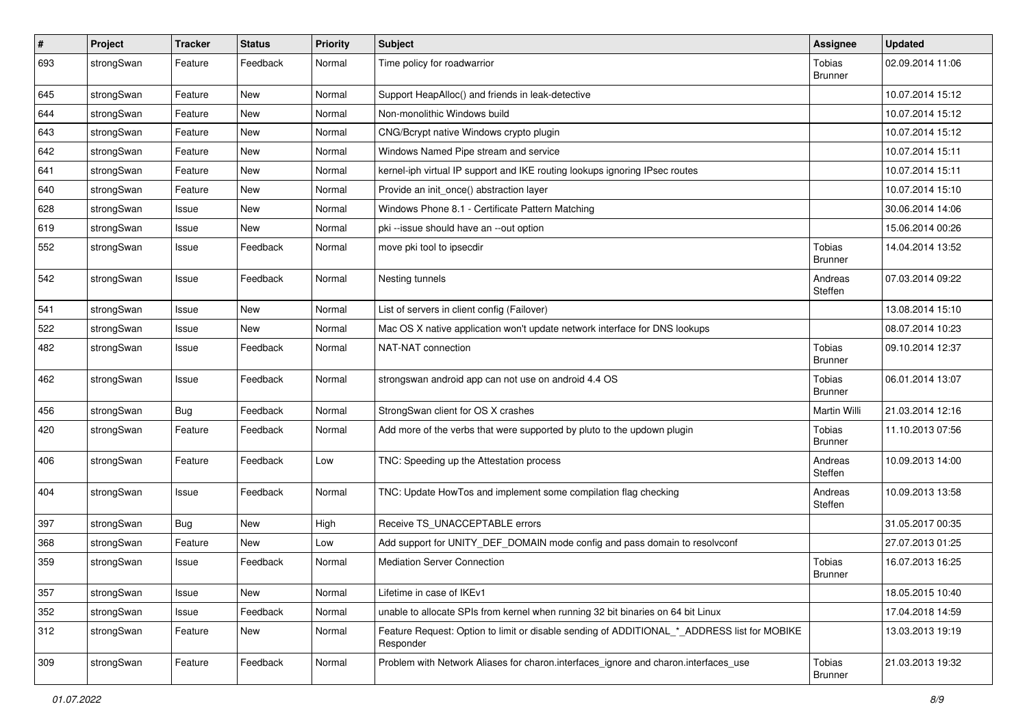| $\vert$ # | Project    | <b>Tracker</b> | <b>Status</b> | <b>Priority</b> | Subject                                                                                                  | Assignee                        | <b>Updated</b>   |
|-----------|------------|----------------|---------------|-----------------|----------------------------------------------------------------------------------------------------------|---------------------------------|------------------|
| 693       | strongSwan | Feature        | Feedback      | Normal          | Time policy for roadwarrior                                                                              | Tobias<br><b>Brunner</b>        | 02.09.2014 11:06 |
| 645       | strongSwan | Feature        | <b>New</b>    | Normal          | Support HeapAlloc() and friends in leak-detective                                                        |                                 | 10.07.2014 15:12 |
| 644       | strongSwan | Feature        | New           | Normal          | Non-monolithic Windows build                                                                             |                                 | 10.07.2014 15:12 |
| 643       | strongSwan | Feature        | <b>New</b>    | Normal          | CNG/Bcrypt native Windows crypto plugin                                                                  |                                 | 10.07.2014 15:12 |
| 642       | strongSwan | Feature        | New           | Normal          | Windows Named Pipe stream and service                                                                    |                                 | 10.07.2014 15:11 |
| 641       | strongSwan | Feature        | <b>New</b>    | Normal          | kernel-iph virtual IP support and IKE routing lookups ignoring IPsec routes                              |                                 | 10.07.2014 15:11 |
| 640       | strongSwan | Feature        | New           | Normal          | Provide an init_once() abstraction layer                                                                 |                                 | 10.07.2014 15:10 |
| 628       | strongSwan | Issue          | New           | Normal          | Windows Phone 8.1 - Certificate Pattern Matching                                                         |                                 | 30.06.2014 14:06 |
| 619       | strongSwan | Issue          | <b>New</b>    | Normal          | pki --issue should have an --out option                                                                  |                                 | 15.06.2014 00:26 |
| 552       | strongSwan | Issue          | Feedback      | Normal          | move pki tool to ipsecdir                                                                                | <b>Tobias</b><br><b>Brunner</b> | 14.04.2014 13:52 |
| 542       | strongSwan | Issue          | Feedback      | Normal          | Nesting tunnels                                                                                          | Andreas<br>Steffen              | 07.03.2014 09:22 |
| 541       | strongSwan | Issue          | <b>New</b>    | Normal          | List of servers in client config (Failover)                                                              |                                 | 13.08.2014 15:10 |
| 522       | strongSwan | Issue          | New           | Normal          | Mac OS X native application won't update network interface for DNS lookups                               |                                 | 08.07.2014 10:23 |
| 482       | strongSwan | Issue          | Feedback      | Normal          | NAT-NAT connection                                                                                       | Tobias<br><b>Brunner</b>        | 09.10.2014 12:37 |
| 462       | strongSwan | Issue          | Feedback      | Normal          | strongswan android app can not use on android 4.4 OS                                                     | <b>Tobias</b><br><b>Brunner</b> | 06.01.2014 13:07 |
| 456       | strongSwan | Bug            | Feedback      | Normal          | StrongSwan client for OS X crashes                                                                       | Martin Willi                    | 21.03.2014 12:16 |
| 420       | strongSwan | Feature        | Feedback      | Normal          | Add more of the verbs that were supported by pluto to the updown plugin                                  | Tobias<br><b>Brunner</b>        | 11.10.2013 07:56 |
| 406       | strongSwan | Feature        | Feedback      | Low             | TNC: Speeding up the Attestation process                                                                 | Andreas<br>Steffen              | 10.09.2013 14:00 |
| 404       | strongSwan | Issue          | Feedback      | Normal          | TNC: Update HowTos and implement some compilation flag checking                                          | Andreas<br>Steffen              | 10.09.2013 13:58 |
| 397       | strongSwan | <b>Bug</b>     | <b>New</b>    | High            | Receive TS_UNACCEPTABLE errors                                                                           |                                 | 31.05.2017 00:35 |
| 368       | strongSwan | Feature        | New           | Low             | Add support for UNITY_DEF_DOMAIN mode config and pass domain to resolvconf                               |                                 | 27.07.2013 01:25 |
| 359       | strongSwan | Issue          | Feedback      | Normal          | <b>Mediation Server Connection</b>                                                                       | Tobias<br><b>Brunner</b>        | 16.07.2013 16:25 |
| 357       | strongSwan | Issue          | New           | Normal          | Lifetime in case of IKEv1                                                                                |                                 | 18.05.2015 10:40 |
| 352       | strongSwan | Issue          | Feedback      | Normal          | unable to allocate SPIs from kernel when running 32 bit binaries on 64 bit Linux                         |                                 | 17.04.2018 14:59 |
| 312       | strongSwan | Feature        | New           | Normal          | Feature Request: Option to limit or disable sending of ADDITIONAL_*_ADDRESS list for MOBIKE<br>Responder |                                 | 13.03.2013 19:19 |
| 309       | strongSwan | Feature        | Feedback      | Normal          | Problem with Network Aliases for charon.interfaces ignore and charon.interfaces use                      | Tobias<br><b>Brunner</b>        | 21.03.2013 19:32 |